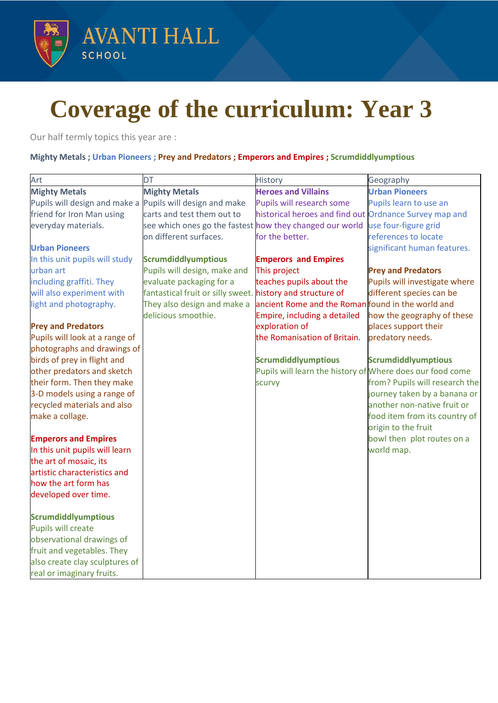

## **Coverage of the curriculum: Year 3**

Our half termly topics this year are :

## **Mighty Metals ; Urban Pioneers ; Prey and Predators ; Emperors and Empires ; Scrumdiddlyumptious**

| Art                            | <b>DT</b>                                                  | History                                                   | Geography                                            |
|--------------------------------|------------------------------------------------------------|-----------------------------------------------------------|------------------------------------------------------|
| <b>Mighty Metals</b>           | <b>Mighty Metals</b>                                       | <b>Heroes and Villains</b>                                | <b>Urban Pioneers</b>                                |
| Pupils will design and make a  | Pupils will design and make                                | Pupils will research some                                 | Pupils learn to use an                               |
| friend for Iron Man using      | carts and test them out to                                 | historical heroes and find out Ordnance Survey map and    |                                                      |
| everyday materials.            | see which ones go the fastest how they changed our world   |                                                           | use four-figure grid                                 |
|                                | on different surfaces.                                     | for the better.                                           | references to locate                                 |
| <b>Urban Pioneers</b>          |                                                            |                                                           | significant human features.                          |
| In this unit pupils will study | <b>Scrumdiddlyumptious</b>                                 | <b>Emperors and Empires</b>                               |                                                      |
| urban art                      | Pupils will design, make and                               | This project                                              | <b>Prey and Predators</b>                            |
| including graffiti. They       | evaluate packaging for a                                   | teaches pupils about the                                  | Pupils will investigate where                        |
| will also experiment with      | fantastical fruit or silly sweet. history and structure of |                                                           | different species can be                             |
| light and photography.         | They also design and make a                                | ancient Rome and the Roman found in the world and         |                                                      |
|                                | delicious smoothie.                                        | Empire, including a detailed                              | how the geography of these                           |
| <b>Prey and Predators</b>      |                                                            | exploration of                                            | places support their                                 |
| Pupils will look at a range of |                                                            | the Romanisation of Britain.                              | predatory needs.                                     |
| photographs and drawings of    |                                                            |                                                           |                                                      |
| birds of prey in flight and    |                                                            | <b>Scrumdiddlyumptious</b>                                | <b>Scrumdiddlyumptious</b>                           |
| other predators and sketch     |                                                            | Pupils will learn the history of Where does our food come |                                                      |
| their form. Then they make     |                                                            | scurvy                                                    | from? Pupils will research the                       |
| 3-D models using a range of    |                                                            |                                                           | journey taken by a banana or                         |
| recycled materials and also    |                                                            |                                                           | another non-native fruit or                          |
| make a collage.                |                                                            |                                                           | food item from its country of<br>origin to the fruit |
| <b>Emperors and Empires</b>    |                                                            |                                                           | bowl then plot routes on a                           |
| In this unit pupils will learn |                                                            |                                                           | world map.                                           |
| the art of mosaic, its         |                                                            |                                                           |                                                      |
| artistic characteristics and   |                                                            |                                                           |                                                      |
| how the art form has           |                                                            |                                                           |                                                      |
| developed over time.           |                                                            |                                                           |                                                      |
| <b>Scrumdiddlyumptious</b>     |                                                            |                                                           |                                                      |
| <b>Pupils will create</b>      |                                                            |                                                           |                                                      |
| observational drawings of      |                                                            |                                                           |                                                      |
| fruit and vegetables. They     |                                                            |                                                           |                                                      |
| also create clay sculptures of |                                                            |                                                           |                                                      |
| real or imaginary fruits.      |                                                            |                                                           |                                                      |